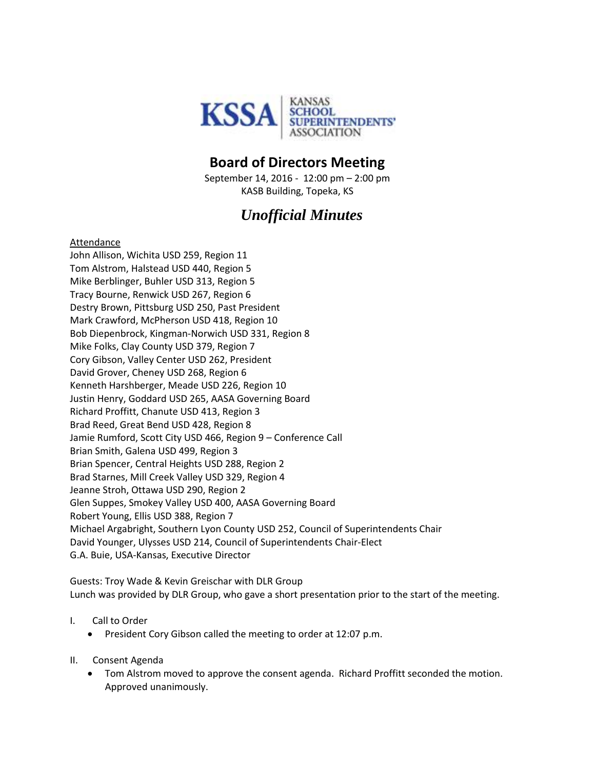

## **Board of Directors Meeting**

September 14, 2016 - 12:00 pm – 2:00 pm KASB Building, Topeka, KS

# *Unofficial Minutes*

#### Attendance

John Allison, Wichita USD 259, Region 11 Tom Alstrom, Halstead USD 440, Region 5 Mike Berblinger, Buhler USD 313, Region 5 Tracy Bourne, Renwick USD 267, Region 6 Destry Brown, Pittsburg USD 250, Past President Mark Crawford, McPherson USD 418, Region 10 Bob Diepenbrock, Kingman-Norwich USD 331, Region 8 Mike Folks, Clay County USD 379, Region 7 Cory Gibson, Valley Center USD 262, President David Grover, Cheney USD 268, Region 6 Kenneth Harshberger, Meade USD 226, Region 10 Justin Henry, Goddard USD 265, AASA Governing Board Richard Proffitt, Chanute USD 413, Region 3 Brad Reed, Great Bend USD 428, Region 8 Jamie Rumford, Scott City USD 466, Region 9 – Conference Call Brian Smith, Galena USD 499, Region 3 Brian Spencer, Central Heights USD 288, Region 2 Brad Starnes, Mill Creek Valley USD 329, Region 4 Jeanne Stroh, Ottawa USD 290, Region 2 Glen Suppes, Smokey Valley USD 400, AASA Governing Board Robert Young, Ellis USD 388, Region 7 Michael Argabright, Southern Lyon County USD 252, Council of Superintendents Chair David Younger, Ulysses USD 214, Council of Superintendents Chair-Elect G.A. Buie, USA-Kansas, Executive Director

Guests: Troy Wade & Kevin Greischar with DLR Group Lunch was provided by DLR Group, who gave a short presentation prior to the start of the meeting.

- I. Call to Order
	- **•** President Cory Gibson called the meeting to order at 12:07 p.m.
- II. Consent Agenda
	- Tom Alstrom moved to approve the consent agenda. Richard Proffitt seconded the motion. Approved unanimously.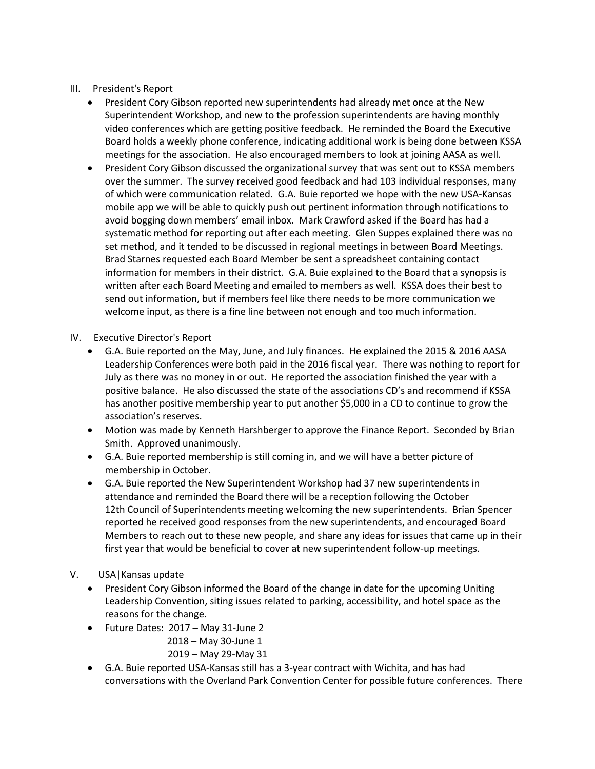### III. President's Report

- President Cory Gibson reported new superintendents had already met once at the New Superintendent Workshop, and new to the profession superintendents are having monthly video conferences which are getting positive feedback. He reminded the Board the Executive Board holds a weekly phone conference, indicating additional work is being done between KSSA meetings for the association. He also encouraged members to look at joining AASA as well.
- President Cory Gibson discussed the organizational survey that was sent out to KSSA members over the summer. The survey received good feedback and had 103 individual responses, many of which were communication related. G.A. Buie reported we hope with the new USA-Kansas mobile app we will be able to quickly push out pertinent information through notifications to avoid bogging down members' email inbox. Mark Crawford asked if the Board has had a systematic method for reporting out after each meeting. Glen Suppes explained there was no set method, and it tended to be discussed in regional meetings in between Board Meetings. Brad Starnes requested each Board Member be sent a spreadsheet containing contact information for members in their district. G.A. Buie explained to the Board that a synopsis is written after each Board Meeting and emailed to members as well. KSSA does their best to send out information, but if members feel like there needs to be more communication we welcome input, as there is a fine line between not enough and too much information.
- IV. Executive Director's Report
	- G.A. Buie reported on the May, June, and July finances. He explained the 2015 & 2016 AASA Leadership Conferences were both paid in the 2016 fiscal year. There was nothing to report for July as there was no money in or out. He reported the association finished the year with a positive balance. He also discussed the state of the associations CD's and recommend if KSSA has another positive membership year to put another \$5,000 in a CD to continue to grow the association's reserves.
	- Motion was made by Kenneth Harshberger to approve the Finance Report. Seconded by Brian Smith. Approved unanimously.
	- G.A. Buie reported membership is still coming in, and we will have a better picture of membership in October.
	- G.A. Buie reported the New Superintendent Workshop had 37 new superintendents in attendance and reminded the Board there will be a reception following the October 12th Council of Superintendents meeting welcoming the new superintendents. Brian Spencer reported he received good responses from the new superintendents, and encouraged Board Members to reach out to these new people, and share any ideas for issues that came up in their first year that would be beneficial to cover at new superintendent follow-up meetings.
- V. USA|Kansas update
	- President Cory Gibson informed the Board of the change in date for the upcoming Uniting Leadership Convention, siting issues related to parking, accessibility, and hotel space as the reasons for the change.
	- Future Dates: 2017 May 31-June 2
		- 2018 May 30-June 1
		- 2019 May 29-May 31
	- G.A. Buie reported USA-Kansas still has a 3-year contract with Wichita, and has had conversations with the Overland Park Convention Center for possible future conferences. There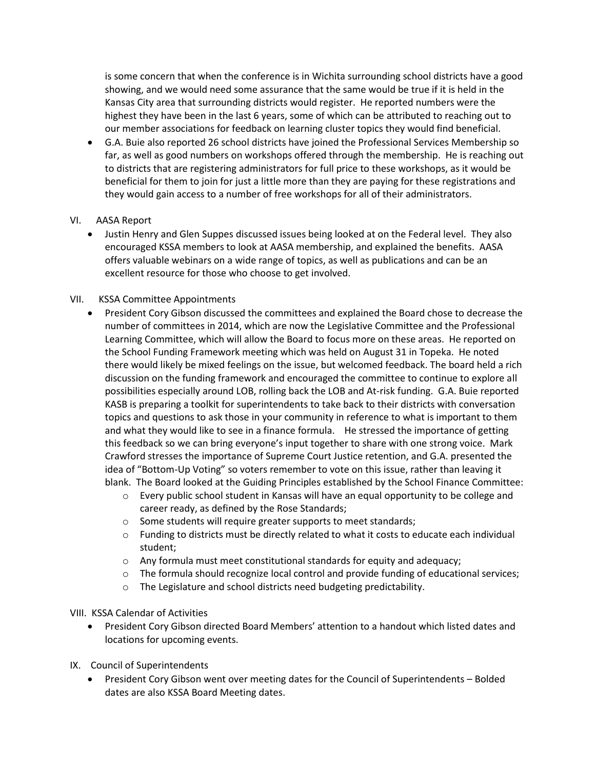is some concern that when the conference is in Wichita surrounding school districts have a good showing, and we would need some assurance that the same would be true if it is held in the Kansas City area that surrounding districts would register. He reported numbers were the highest they have been in the last 6 years, some of which can be attributed to reaching out to our member associations for feedback on learning cluster topics they would find beneficial.

 G.A. Buie also reported 26 school districts have joined the Professional Services Membership so far, as well as good numbers on workshops offered through the membership. He is reaching out to districts that are registering administrators for full price to these workshops, as it would be beneficial for them to join for just a little more than they are paying for these registrations and they would gain access to a number of free workshops for all of their administrators.

### VI. AASA Report

 Justin Henry and Glen Suppes discussed issues being looked at on the Federal level. They also encouraged KSSA members to look at AASA membership, and explained the benefits. AASA offers valuable webinars on a wide range of topics, as well as publications and can be an excellent resource for those who choose to get involved.

### VII. KSSA Committee Appointments

- President Cory Gibson discussed the committees and explained the Board chose to decrease the number of committees in 2014, which are now the Legislative Committee and the Professional Learning Committee, which will allow the Board to focus more on these areas. He reported on the School Funding Framework meeting which was held on August 31 in Topeka. He noted there would likely be mixed feelings on the issue, but welcomed feedback. The board held a rich discussion on the funding framework and encouraged the committee to continue to explore all possibilities especially around LOB, rolling back the LOB and At-risk funding. G.A. Buie reported KASB is preparing a toolkit for superintendents to take back to their districts with conversation topics and questions to ask those in your community in reference to what is important to them and what they would like to see in a finance formula. He stressed the importance of getting this feedback so we can bring everyone's input together to share with one strong voice. Mark Crawford stresses the importance of Supreme Court Justice retention, and G.A. presented the idea of "Bottom-Up Voting" so voters remember to vote on this issue, rather than leaving it blank. The Board looked at the Guiding Principles established by the School Finance Committee:
	- o Every public school student in Kansas will have an equal opportunity to be college and career ready, as defined by the Rose Standards;
	- o Some students will require greater supports to meet standards;
	- $\circ$  Funding to districts must be directly related to what it costs to educate each individual student;
	- o Any formula must meet constitutional standards for equity and adequacy;
	- $\circ$  The formula should recognize local control and provide funding of educational services;
	- o The Legislature and school districts need budgeting predictability.

#### VIII. KSSA Calendar of Activities

- President Cory Gibson directed Board Members' attention to a handout which listed dates and locations for upcoming events.
- IX. Council of Superintendents
	- President Cory Gibson went over meeting dates for the Council of Superintendents Bolded dates are also KSSA Board Meeting dates.